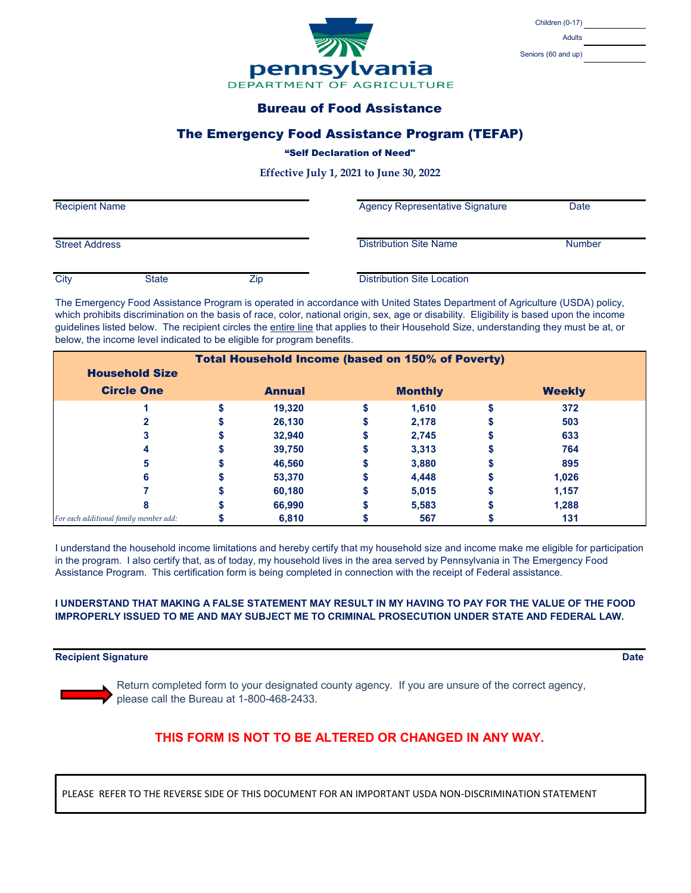

| <b>Children (0-17)</b> |  |
|------------------------|--|
| Adults                 |  |

Seniors (60 and up)

## Bureau of Food Assistance

### The Emergency Food Assistance Program (TEFAP)

#### "Self Declaration of Need"

**Effective July 1, 2021 to June 30, 2022**

| <b>Recipient Name</b> |              | <b>Agency Representative Signature</b> | Date                              |               |
|-----------------------|--------------|----------------------------------------|-----------------------------------|---------------|
| <b>Street Address</b> |              |                                        | <b>Distribution Site Name</b>     | <b>Number</b> |
| City                  | <b>State</b> | Zip                                    | <b>Distribution Site Location</b> |               |

The Emergency Food Assistance Program is operated in accordance with United States Department of Agriculture (USDA) policy, which prohibits discrimination on the basis of race, color, national origin, sex, age or disability. Eligibility is based upon the income guidelines listed below. The recipient circles the entire line that applies to their Household Size, understanding they must be at, or below, the income level indicated to be eligible for program benefits.

| <b>Total Household Income (based on 150% of Poverty)</b> |  |               |  |                |               |  |
|----------------------------------------------------------|--|---------------|--|----------------|---------------|--|
| <b>Household Size</b>                                    |  |               |  |                |               |  |
| <b>Circle One</b>                                        |  | <b>Annual</b> |  | <b>Monthly</b> | <b>Weekly</b> |  |
|                                                          |  | 19,320        |  | 1,610          | 372           |  |
|                                                          |  | 26,130        |  | 2,178          | 503           |  |
|                                                          |  | 32,940        |  | 2,745          | 633           |  |
|                                                          |  | 39,750        |  | 3,313          | 764           |  |
|                                                          |  | 46,560        |  | 3,880          | 895           |  |
| 6                                                        |  | 53,370        |  | 4,448          | 1,026         |  |
|                                                          |  | 60,180        |  | 5,015          | 1,157         |  |
| 8                                                        |  | 66.990        |  | 5,583          | 1,288         |  |
| For each additional family member add:                   |  | 6,810         |  | 567            | 131           |  |

I understand the household income limitations and hereby certify that my household size and income make me eligible for participation in the program. I also certify that, as of today, my household lives in the area served by Pennsylvania in The Emergency Food Assistance Program. This certification form is being completed in connection with the receipt of Federal assistance.

#### **I UNDERSTAND THAT MAKING A FALSE STATEMENT MAY RESULT IN MY HAVING TO PAY FOR THE VALUE OF THE FOOD IMPROPERLY ISSUED TO ME AND MAY SUBJECT ME TO CRIMINAL PROSECUTION UNDER STATE AND FEDERAL LAW.**

#### **Recipient Signature Date**

Return completed form to your designated county agency. If you are unsure of the correct agency, please call the Bureau at 1-800-468-2433.

# **THIS FORM IS NOT TO BE ALTERED OR CHANGED IN ANY WAY.**

PLEASE REFER TO THE REVERSE SIDE OF THIS DOCUMENT FOR AN IMPORTANT USDA NON-DISCRIMINATION STATEMENT